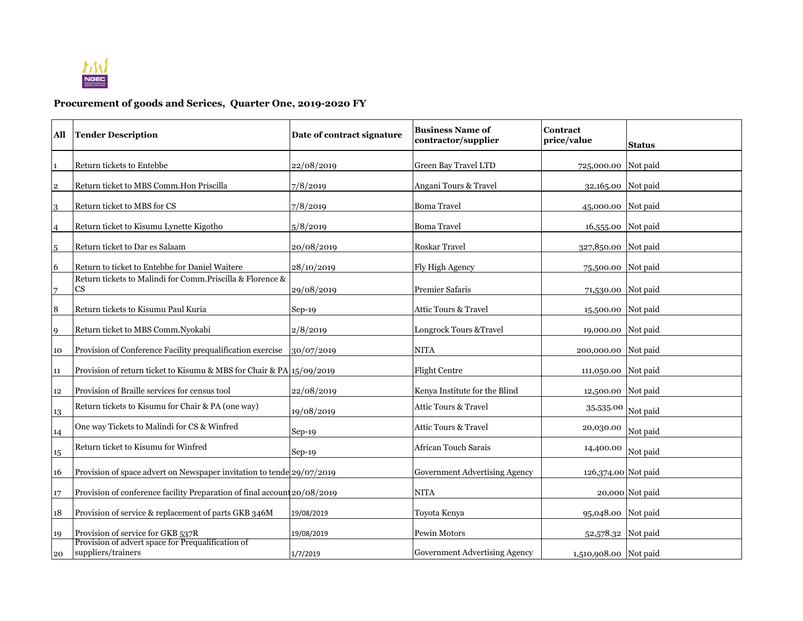

**Procurement of goods and Serices, Quarter One, 2019-2020 FY**

| All            | <b>Tender Description</b>                                                            | Date of contract signature | <b>Business Name of</b><br>contractor/supplier | Contract<br>price/value | <b>Status</b>   |
|----------------|--------------------------------------------------------------------------------------|----------------------------|------------------------------------------------|-------------------------|-----------------|
|                | Return tickets to Entebbe                                                            | 22/08/2019                 | Green Bay Travel LTD                           | 725,000.00 Not paid     |                 |
| $\overline{2}$ | Return ticket to MBS Comm. Hon Priscilla                                             | 7/8/2019                   | Angani Tours & Travel                          | 32,165.00 Not paid      |                 |
| 3              | Return ticket to MBS for CS                                                          | 7/8/2019                   | <b>Boma Travel</b>                             | 45,000.00 Not paid      |                 |
| 4              | Return ticket to Kisumu Lynette Kigotho                                              | 5/8/2019                   | <b>Boma Travel</b>                             | 16,555.00 Not paid      |                 |
| 5              | Return ticket to Dar es Salaam                                                       | 20/08/2019                 | Roskar Travel                                  | 327,850.00 Not paid     |                 |
| 6              | Return to ticket to Entebbe for Daniel Waitere                                       | 28/10/2019                 | Fly High Agency                                | 75,500.00 Not paid      |                 |
|                | Return tickets to Malindi for Comm. Priscilla & Florence &<br>$\mathbf{C}\mathbf{S}$ | 29/08/2019                 | <b>Premier Safaris</b>                         | 71,530.00 Not paid      |                 |
| 8              | Return tickets to Kisumu Paul Kuria                                                  | $Sep-19$                   | Attic Tours & Travel                           | 15,500.00 Not paid      |                 |
| 9              | Return ticket to MBS Comm.Nyokabi                                                    | 2/8/2019                   | Longrock Tours & Travel                        | 19,000.00 Not paid      |                 |
| 10             | Provision of Conference Facility prequalification exercise                           | 30/07/2019                 | <b>NITA</b>                                    | 200,000.00 Not paid     |                 |
| 11             | Provision of return ticket to Kisumu & MBS for Chair & PA 15/09/2019                 |                            | <b>Flight Centre</b>                           | 111,050.00 Not paid     |                 |
| 12             | Provision of Braille services for census tool                                        | 22/08/2019                 | Kenya Institute for the Blind                  | 12,500.00 Not paid      |                 |
| 13             | Return tickets to Kisumu for Chair & PA (one way)                                    | 19/08/2019                 | Attic Tours & Travel                           | 35,535.00               | Not paid        |
| 14             | One way Tickets to Malindi for CS & Winfred                                          | $Sep-19$                   | Attic Tours & Travel                           | 20,030.00               | Not paid        |
| 15             | Return ticket to Kisumu for Winfred                                                  | $Sep-19$                   | African Touch Sarais                           | 14,400.00               | Not paid        |
| 16             | Provision of space advert on Newspaper invitation to tende 29/07/2019                |                            | Government Advertising Agency                  | 126,374.00 Not paid     |                 |
| 17             | Provision of conference facility Preparation of final account 20/08/2019             |                            | <b>NITA</b>                                    |                         | 20,000 Not paid |
| 18             | Provision of service & replacement of parts GKB 346M                                 | 19/08/2019                 | Toyota Kenya                                   | 95,048.00 Not paid      |                 |
| 19             | Provision of service for GKB 537R                                                    | 19/08/2019                 | Pewin Motors                                   | 52,578.32 Not paid      |                 |
| 20             | Provision of advert space for Prequalification of<br>suppliers/trainers              | 1/7/2019                   | Government Advertising Agency                  | 1,510,908.00 Not paid   |                 |